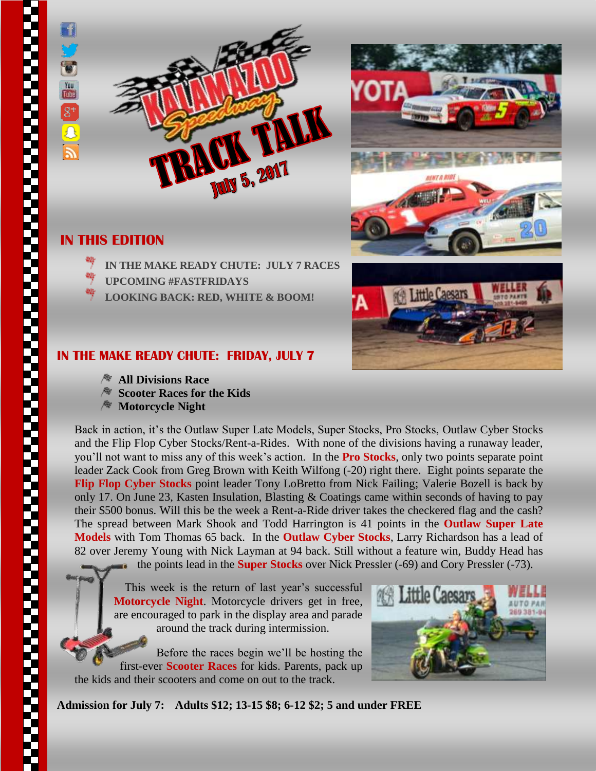

## **IN THIS EDITION**

- **IN THE MAKE READY CHUTE: JULY 7 RACES**
- **UPCOMING #FASTFRIDAYS**
- **LOOKING BACK: RED, WHITE & BOOM!**





## **IN THE MAKE READY CHUTE: FRIDAY, JULY 7**

- **All Divisions Race**
- **Scooter Races for the Kids**
- **Motorcycle Night**

Back in action, it's the Outlaw Super Late Models, Super Stocks, Pro Stocks, Outlaw Cyber Stocks and the Flip Flop Cyber Stocks/Rent-a-Rides. With none of the divisions having a runaway leader, you'll not want to miss any of this week's action. In the **Pro Stocks**, only two points separate point leader Zack Cook from Greg Brown with Keith Wilfong (-20) right there. Eight points separate the **Flip Flop Cyber Stocks** point leader Tony LoBretto from Nick Failing; Valerie Bozell is back by only 17. On June 23, Kasten Insulation, Blasting & Coatings came within seconds of having to pay their \$500 bonus. Will this be the week a Rent-a-Ride driver takes the checkered flag and the cash? The spread between Mark Shook and Todd Harrington is 41 points in the **Outlaw Super Late Models** with Tom Thomas 65 back. In the **Outlaw Cyber Stocks**, Larry Richardson has a lead of 82 over Jeremy Young with Nick Layman at 94 back. Still without a feature win, Buddy Head has

the points lead in the **Super Stocks** over Nick Pressler (-69) and Cory Pressler (-73).

This week is the return of last year's successful **Motorcycle Night**. Motorcycle drivers get in free, are encouraged to park in the display area and parade around the track during intermission.

Before the races begin we'll be hosting the first-ever **Scooter Races** for kids. Parents, pack up the kids and their scooters and come on out to the track.



**Admission for July 7: Adults \$12; 13-15 \$8; 6-12 \$2; 5 and under FREE**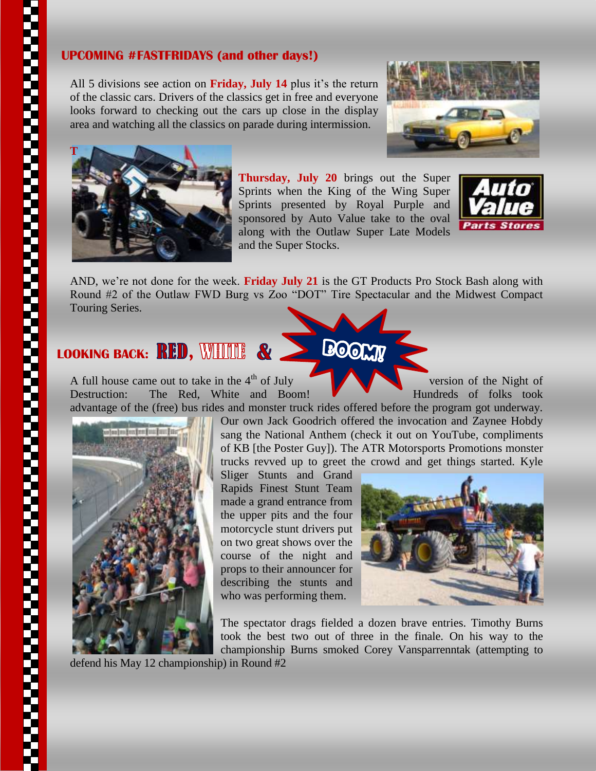## **UPCOMING #FASTFRIDAYS (and other days!)**

All 5 divisions see action on **Friday, July 14** plus it's the return of the classic cars. Drivers of the classics get in free and everyone looks forward to checking out the cars up close in the display area and watching all the classics on parade during intermission.





**Thursday, July 20** brings out the Super Sprints when the King of the Wing Super Sprints presented by Royal Purple and sponsored by Auto Value take to the oval along with the Outlaw Super Late Models and the Super Stocks.

BOOMY



AND, we're not done for the week. **Friday July 21** is the GT Products Pro Stock Bash along with Round #2 of the Outlaw FWD Burg vs Zoo "DOT" Tire Spectacular and the Midwest Compact Touring Series.

## LOOKING BACK: RED, WHILE & .

A full house came out to take in the  $4<sup>th</sup>$  of July version of the Night of Destruction: The Red, White and Boom! **Hundreds** of folks took



advantage of the (free) bus rides and monster truck rides offered before the program got underway. Our own Jack Goodrich offered the invocation and Zaynee Hobdy sang the National Anthem (check it out on YouTube, compliments of KB [the Poster Guy]). The ATR Motorsports Promotions monster trucks revved up to greet the crowd and get things started. Kyle

Sliger Stunts and Grand Rapids Finest Stunt Team made a grand entrance from the upper pits and the four motorcycle stunt drivers put on two great shows over the course of the night and props to their announcer for describing the stunts and who was performing them.



The spectator drags fielded a dozen brave entries. Timothy Burns took the best two out of three in the finale. On his way to the championship Burns smoked Corey Vansparrenntak (attempting to

defend his May 12 championship) in Round #2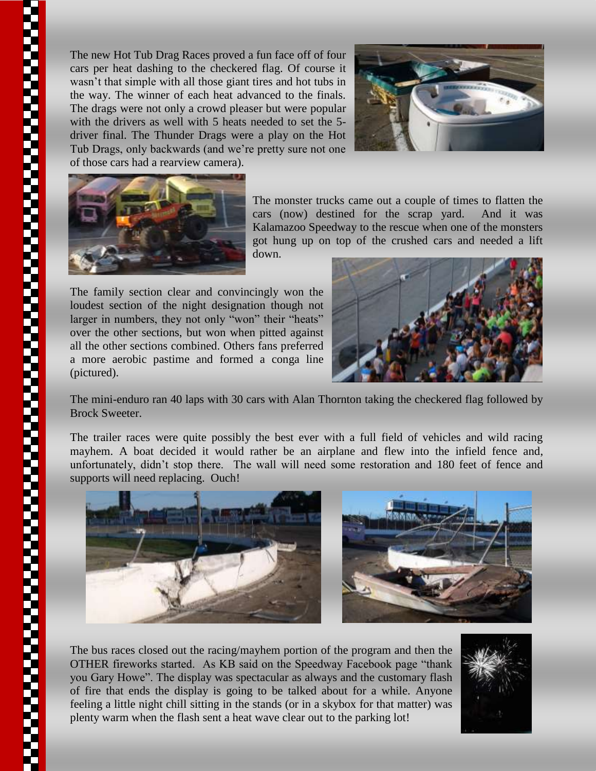The new Hot Tub Drag Races proved a fun face off of four cars per heat dashing to the checkered flag. Of course it wasn't that simple with all those giant tires and hot tubs in the way. The winner of each heat advanced to the finals. The drags were not only a crowd pleaser but were popular with the drivers as well with 5 heats needed to set the 5driver final. The Thunder Drags were a play on the Hot Tub Drags, only backwards (and we're pretty sure not one of those cars had a rearview camera).





The monster trucks came out a couple of times to flatten the cars (now) destined for the scrap yard. And it was Kalamazoo Speedway to the rescue when one of the monsters got hung up on top of the crushed cars and needed a lift down.

The family section clear and convincingly won the loudest section of the night designation though not larger in numbers, they not only "won" their "heats" over the other sections, but won when pitted against all the other sections combined. Others fans preferred a more aerobic pastime and formed a conga line (pictured).



The mini-enduro ran 40 laps with 30 cars with Alan Thornton taking the checkered flag followed by Brock Sweeter.

The trailer races were quite possibly the best ever with a full field of vehicles and wild racing mayhem. A boat decided it would rather be an airplane and flew into the infield fence and, unfortunately, didn't stop there. The wall will need some restoration and 180 feet of fence and supports will need replacing. Ouch!



The bus races closed out the racing/mayhem portion of the program and then the OTHER fireworks started. As KB said on the Speedway Facebook page "thank you Gary Howe". The display was spectacular as always and the customary flash of fire that ends the display is going to be talked about for a while. Anyone feeling a little night chill sitting in the stands (or in a skybox for that matter) was plenty warm when the flash sent a heat wave clear out to the parking lot!